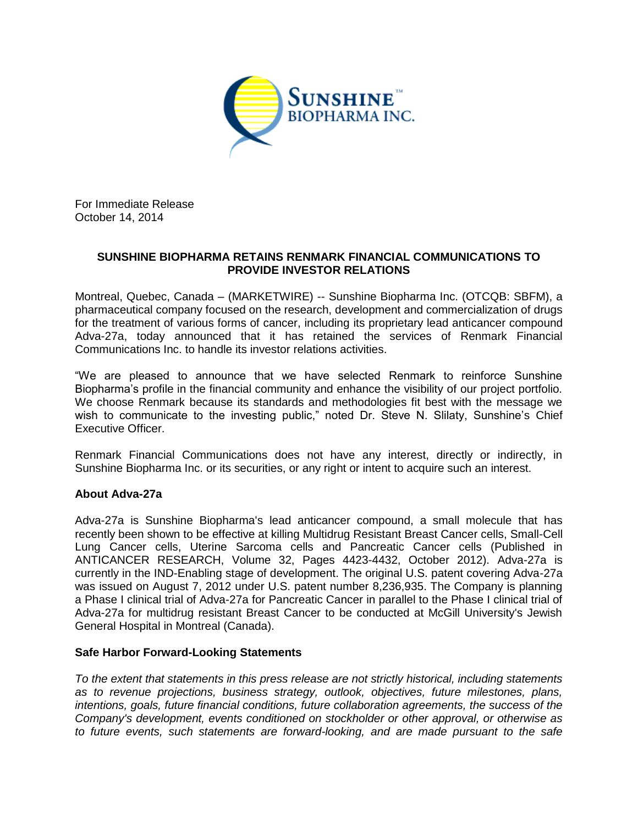

For Immediate Release October 14, 2014

## **SUNSHINE BIOPHARMA RETAINS RENMARK FINANCIAL COMMUNICATIONS TO PROVIDE INVESTOR RELATIONS**

Montreal, Quebec, Canada – (MARKETWIRE) -- Sunshine Biopharma Inc. (OTCQB: SBFM), a pharmaceutical company focused on the research, development and commercialization of drugs for the treatment of various forms of cancer, including its proprietary lead anticancer compound Adva-27a, today announced that it has retained the services of Renmark Financial Communications Inc. to handle its investor relations activities.

"We are pleased to announce that we have selected Renmark to reinforce Sunshine Biopharma's profile in the financial community and enhance the visibility of our project portfolio. We choose Renmark because its standards and methodologies fit best with the message we wish to communicate to the investing public," noted Dr. Steve N. Slilaty, Sunshine's Chief Executive Officer.

Renmark Financial Communications does not have any interest, directly or indirectly, in Sunshine Biopharma Inc. or its securities, or any right or intent to acquire such an interest.

## **About Adva-27a**

Adva-27a is Sunshine Biopharma's lead anticancer compound, a small molecule that has recently been shown to be effective at killing Multidrug Resistant Breast Cancer cells, Small-Cell Lung Cancer cells, Uterine Sarcoma cells and Pancreatic Cancer cells (Published in ANTICANCER RESEARCH, Volume 32, Pages 4423-4432, October 2012). Adva-27a is currently in the IND-Enabling stage of development. The original U.S. patent covering Adva-27a was issued on August 7, 2012 under U.S. patent number 8,236,935. The Company is planning a Phase I clinical trial of Adva-27a for Pancreatic Cancer in parallel to the Phase I clinical trial of Adva-27a for multidrug resistant Breast Cancer to be conducted at McGill University's Jewish General Hospital in Montreal (Canada).

## **Safe Harbor Forward-Looking Statements**

*To the extent that statements in this press release are not strictly historical, including statements as to revenue projections, business strategy, outlook, objectives, future milestones, plans, intentions, goals, future financial conditions, future collaboration agreements, the success of the Company's development, events conditioned on stockholder or other approval, or otherwise as to future events, such statements are forward-looking, and are made pursuant to the safe*